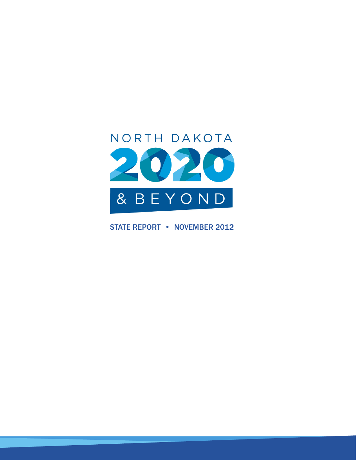

STATE REPORT • NOVEMBER 2012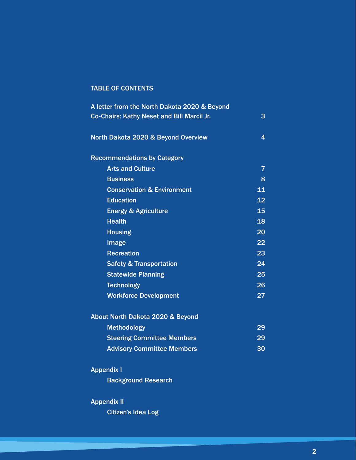## TABLE OF CONTENTS

| A letter from the North Dakota 2020 & Beyond |                |
|----------------------------------------------|----------------|
| Co-Chairs: Kathy Neset and Bill Marcil Jr.   | 3              |
| North Dakota 2020 & Beyond Overview          | 4              |
| <b>Recommendations by Category</b>           |                |
| <b>Arts and Culture</b>                      | $\overline{7}$ |
| <b>Business</b>                              | 8              |
| <b>Conservation &amp; Environment</b>        | 11             |
| <b>Education</b>                             | 12             |
| <b>Energy &amp; Agriculture</b>              | 15             |
| <b>Health</b>                                | 18             |
| <b>Housing</b>                               | 20             |
| Image                                        | 22             |
| <b>Recreation</b>                            | 23             |
| <b>Safety &amp; Transportation</b>           | 24             |
| <b>Statewide Planning</b>                    | 25             |
| <b>Technology</b>                            | 26             |
| <b>Workforce Development</b>                 | 27             |
| About North Dakota 2020 & Beyond             |                |
| <b>Methodology</b>                           | 29             |
| <b>Steering Committee Members</b>            | 29             |
| <b>Advisory Committee Members</b>            | 30             |
| <b>Appendix I</b>                            |                |

Background Research

## Appendix II

Citizen's Idea Log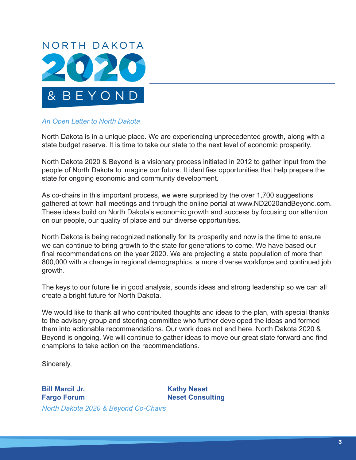

## *An Open Letter to North Dakota*

North Dakota is in a unique place. We are experiencing unprecedented growth, along with a state budget reserve. It is time to take our state to the next level of economic prosperity.

North Dakota 2020 & Beyond is a visionary process initiated in 2012 to gather input from the people of North Dakota to imagine our future. It identifies opportunities that help prepare the state for ongoing economic and community development.

As co-chairs in this important process, we were surprised by the over 1,700 suggestions gathered at town hall meetings and through the online portal at www.ND2020andBeyond.com. These ideas build on North Dakota's economic growth and success by focusing our attention on our people, our quality of place and our diverse opportunities.

North Dakota is being recognized nationally for its prosperity and now is the time to ensure we can continue to bring growth to the state for generations to come. We have based our final recommendations on the year 2020. We are projecting a state population of more than 800,000 with a change in regional demographics, a more diverse workforce and continued job growth.

The keys to our future lie in good analysis, sounds ideas and strong leadership so we can all create a bright future for North Dakota.

We would like to thank all who contributed thoughts and ideas to the plan, with special thanks to the advisory group and steering committee who further developed the ideas and formed them into actionable recommendations. Our work does not end here. North Dakota 2020 & Beyond is ongoing. We will continue to gather ideas to move our great state forward and find champions to take action on the recommendations.

Sincerely,

**Bill Marcil Jr.** Kathy Neset **Fargo Forum Neset Consulting** *North Dakota 2020 & Beyond Co-Chairs*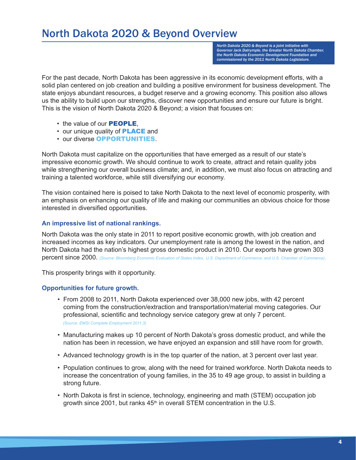# North Dakota 2020 & Beyond Overview

*North Dakota 2020 & Beyond is a joint initiative with Governor Jack Dalrymple, the Greater North Dakota Chamber, the North Dakota Economic Development Foundation and commissioned by the 2011 North Dakota Legislature.*

For the past decade, North Dakota has been aggressive in its economic development efforts, with a solid plan centered on job creation and building a positive environment for business development. The state enjoys abundant resources, a budget reserve and a growing economy. This position also allows us the ability to build upon our strengths, discover new opportunities and ensure our future is bright. This is the vision of North Dakota 2020 & Beyond; a vision that focuses on:

- the value of our **PEOPLE**,
- our unique quality of **PLACE** and
- our diverse OPPORTUNITIES.

North Dakota must capitalize on the opportunities that have emerged as a result of our state's impressive economic growth. We should continue to work to create, attract and retain quality jobs while strengthening our overall business climate; and, in addition, we must also focus on attracting and training a talented workforce, while still diversifying our economy.

The vision contained here is poised to take North Dakota to the next level of economic prosperity, with an emphasis on enhancing our quality of life and making our communities an obvious choice for those interested in diversified opportunities.

## **An impressive list of national rankings.**

North Dakota was the only state in 2011 to report positive economic growth, with job creation and increased incomes as key indicators. Our unemployment rate is among the lowest in the nation, and North Dakota had the nation's highest gross domestic product in 2010. Our exports have grown 303 percent since 2000. *(Source: Bloomberg Economic Evaluation of States Index, U.S. Department of Commerce, and U.S. Chamber of Commerce)*.

This prosperity brings with it opportunity.

## **Opportunities for future growth.**

- From 2008 to 2011, North Dakota experienced over 38,000 new jobs, with 42 percent coming from the construction/extraction and transportation/material moving categories. Our professional, scientific and technology service category grew at only 7 percent. *(Source: EMSI Complete Employment 2011.3)*
- Manufacturing makes up 10 percent of North Dakota's gross domestic product, and while the nation has been in recession, we have enjoyed an expansion and still have room for growth.
- Advanced technology growth is in the top quarter of the nation, at 3 percent over last year.
- Population continues to grow, along with the need for trained workforce. North Dakota needs to increase the concentration of young families, in the 35 to 49 age group, to assist in building a strong future.
- North Dakota is first in science, technology, engineering and math (STEM) occupation job growth since 2001, but ranks  $45<sup>th</sup>$  in overall STEM concentration in the U.S.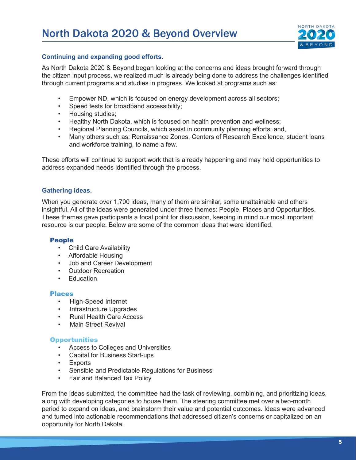

## **Continuing and expanding good efforts.**

As North Dakota 2020 & Beyond began looking at the concerns and ideas brought forward through the citizen input process, we realized much is already being done to address the challenges identified through current programs and studies in progress. We looked at programs such as:

- Empower ND, which is focused on energy development across all sectors;
- Speed tests for broadband accessibility;
- Housing studies;
- Healthy North Dakota, which is focused on health prevention and wellness;
- Regional Planning Councils, which assist in community planning efforts; and,
- Many others such as: Renaissance Zones, Centers of Research Excellence, student loans and workforce training, to name a few.

These efforts will continue to support work that is already happening and may hold opportunities to address expanded needs identified through the process.

## **Gathering ideas.**

When you generate over 1,700 ideas, many of them are similar, some unattainable and others insightful. All of the ideas were generated under three themes: People, Places and Opportunities. These themes gave participants a focal point for discussion, keeping in mind our most important resource is our people. Below are some of the common ideas that were identified.

## People

- Child Care Availability
- Affordable Housing
- Job and Career Development
- Outdoor Recreation
- Education

#### Places

- High-Speed Internet
- Infrastructure Upgrades
- Rural Health Care Access
- Main Street Revival

## **Opportunities**

- Access to Colleges and Universities
- Capital for Business Start-ups
- Exports
- Sensible and Predictable Regulations for Business
- Fair and Balanced Tax Policy

From the ideas submitted, the committee had the task of reviewing, combining, and prioritizing ideas, along with developing categories to house them. The steering committee met over a two-month period to expand on ideas, and brainstorm their value and potential outcomes. Ideas were advanced and turned into actionable recommendations that addressed citizen's concerns or capitalized on an opportunity for North Dakota.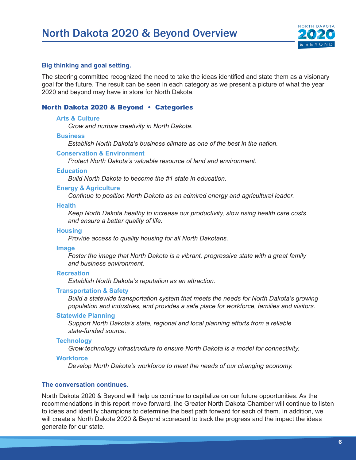

#### **Big thinking and goal setting.**

The steering committee recognized the need to take the ideas identified and state them as a visionary goal for the future. The result can be seen in each category as we present a picture of what the year 2020 and beyond may have in store for North Dakota.

#### North Dakota 2020 & Beyond • Categories

#### **Arts & Culture**

*Grow and nurture creativity in North Dakota.*

#### **Business**

*Establish North Dakota's business climate as one of the best in the nation.*

#### **Conservation & Environment**

*Protect North Dakota's valuable resource of land and environment.*

#### **Education**

*Build North Dakota to become the #1 state in education.*

#### **Energy & Agriculture**

*Continue to position North Dakota as an admired energy and agricultural leader.*

#### **Health**

*Keep North Dakota healthy to increase our productivity, slow rising health care costs and ensure a better quality of life.*

#### **Housing**

*Provide access to quality housing for all North Dakotans.*

#### **Image**

*Foster the image that North Dakota is a vibrant, progressive state with a great family and business environment.*

## **Recreation**

*Establish North Dakota's reputation as an attraction.*

#### **Transportation & Safety**

*Build a statewide transportation system that meets the needs for North Dakota's growing population and industries, and provides a safe place for workforce, families and visitors.*

#### **Statewide Planning**

*Support North Dakota's state, regional and local planning efforts from a reliable state-funded source.*

#### **Technology**

*Grow technology infrastructure to ensure North Dakota is a model for connectivity.*

#### **Workforce**

*Develop North Dakota's workforce to meet the needs of our changing economy.*

#### **The conversation continues.**

North Dakota 2020 & Beyond will help us continue to capitalize on our future opportunities. As the recommendations in this report move forward, the Greater North Dakota Chamber will continue to listen to ideas and identify champions to determine the best path forward for each of them. In addition, we will create a North Dakota 2020 & Beyond scorecard to track the progress and the impact the ideas generate for our state.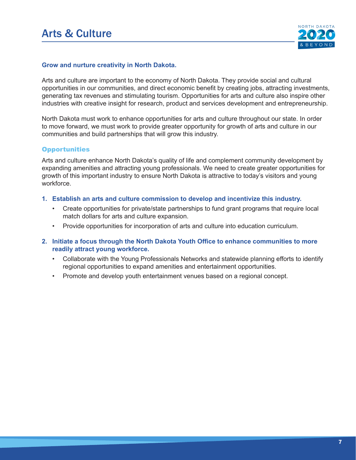

#### **Grow and nurture creativity in North Dakota.**

Arts and culture are important to the economy of North Dakota. They provide social and cultural opportunities in our communities, and direct economic benefit by creating jobs, attracting investments, generating tax revenues and stimulating tourism. Opportunities for arts and culture also inspire other industries with creative insight for research, product and services development and entrepreneurship.

North Dakota must work to enhance opportunities for arts and culture throughout our state. In order to move forward, we must work to provide greater opportunity for growth of arts and culture in our communities and build partnerships that will grow this industry.

#### **Opportunities**

Arts and culture enhance North Dakota's quality of life and complement community development by expanding amenities and attracting young professionals. We need to create greater opportunities for growth of this important industry to ensure North Dakota is attractive to today's visitors and young workforce.

- **1. Establish an arts and culture commission to develop and incentivize this industry.** 
	- Create opportunities for private/state partnerships to fund grant programs that require local match dollars for arts and culture expansion.
	- Provide opportunities for incorporation of arts and culture into education curriculum.
- **2. Initiate a focus through the North Dakota Youth Office to enhance communities to more readily attract young workforce.** 
	- Collaborate with the Young Professionals Networks and statewide planning efforts to identify regional opportunities to expand amenities and entertainment opportunities.
	- Promote and develop youth entertainment venues based on a regional concept.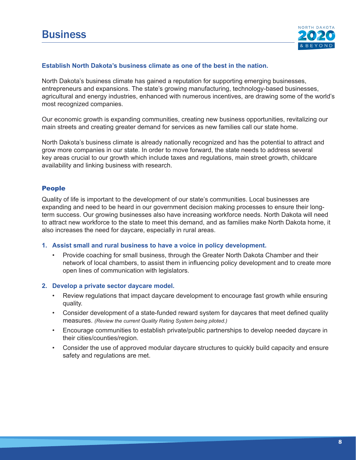

#### **Establish North Dakota's business climate as one of the best in the nation.**

North Dakota's business climate has gained a reputation for supporting emerging businesses, entrepreneurs and expansions. The state's growing manufacturing, technology-based businesses, agricultural and energy industries, enhanced with numerous incentives, are drawing some of the world's most recognized companies.

Our economic growth is expanding communities, creating new business opportunities, revitalizing our main streets and creating greater demand for services as new families call our state home.

North Dakota's business climate is already nationally recognized and has the potential to attract and grow more companies in our state. In order to move forward, the state needs to address several key areas crucial to our growth which include taxes and regulations, main street growth, childcare availability and linking business with research.

## People

Quality of life is important to the development of our state's communities. Local businesses are expanding and need to be heard in our government decision making processes to ensure their longterm success. Our growing businesses also have increasing workforce needs. North Dakota will need to attract new workforce to the state to meet this demand, and as families make North Dakota home, it also increases the need for daycare, especially in rural areas.

#### **1. Assist small and rural business to have a voice in policy development.**

• Provide coaching for small business, through the Greater North Dakota Chamber and their network of local chambers, to assist them in influencing policy development and to create more open lines of communication with legislators.

#### **2. Develop a private sector daycare model.**

- Review regulations that impact daycare development to encourage fast growth while ensuring quality.
- Consider development of a state-funded reward system for daycares that meet defined quality measures. *(Review the current Quality Rating System being piloted.)*
- Encourage communities to establish private/public partnerships to develop needed daycare in their cities/counties/region.
- Consider the use of approved modular daycare structures to quickly build capacity and ensure safety and regulations are met.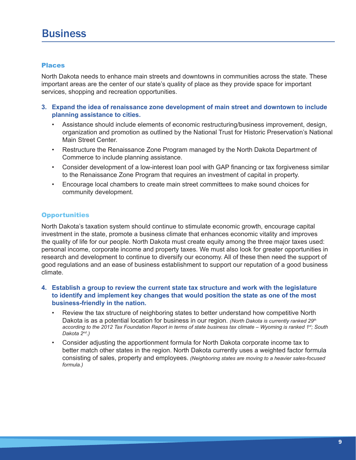# **Business**

## Places

North Dakota needs to enhance main streets and downtowns in communities across the state. These important areas are the center of our state's quality of place as they provide space for important services, shopping and recreation opportunities.

- **3. Expand the idea of renaissance zone development of main street and downtown to include planning assistance to cities.**
	- Assistance should include elements of economic restructuring/business improvement, design, organization and promotion as outlined by the National Trust for Historic Preservation's National Main Street Center.
	- Restructure the Renaissance Zone Program managed by the North Dakota Department of Commerce to include planning assistance.
	- Consider development of a low-interest loan pool with GAP financing or tax forgiveness similar to the Renaissance Zone Program that requires an investment of capital in property.
	- Encourage local chambers to create main street committees to make sound choices for community development.

## **Opportunities**

North Dakota's taxation system should continue to stimulate economic growth, encourage capital investment in the state, promote a business climate that enhances economic vitality and improves the quality of life for our people. North Dakota must create equity among the three major taxes used: personal income, corporate income and property taxes. We must also look for greater opportunities in research and development to continue to diversify our economy. All of these then need the support of good regulations and an ease of business establishment to support our reputation of a good business climate.

- **4. Establish a group to review the current state tax structure and work with the legislature to identify and implement key changes that would position the state as one of the most business-friendly in the nation.**
	- Review the tax structure of neighboring states to better understand how competitive North Dakota is as a potential location for business in our region. *(North Dakota is currently ranked 29th according to the 2012 Tax Foundation Report in terms of state business tax climate – Wyoming is ranked 1st; South Dakota 2nd.)*
	- Consider adjusting the apportionment formula for North Dakota corporate income tax to better match other states in the region. North Dakota currently uses a weighted factor formula consisting of sales, property and employees. *(Neighboring states are moving to a heavier sales-focused formula.)*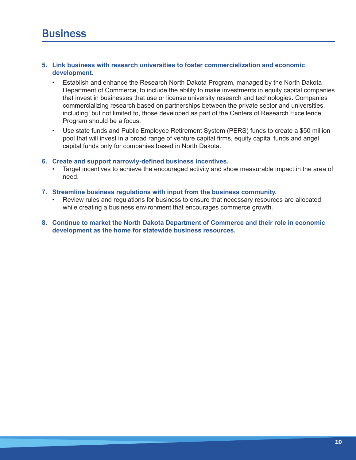#### **5. Link business with research universities to foster commercialization and economic development.**

- Establish and enhance the Research North Dakota Program, managed by the North Dakota Department of Commerce, to include the ability to make investments in equity capital companies that invest in businesses that use or license university research and technologies. Companies commercializing research based on partnerships between the private sector and universities, including, but not limited to, those developed as part of the Centers of Research Excellence Program should be a focus.
- Use state funds and Public Employee Retirement System (PERS) funds to create a \$50 million pool that will invest in a broad range of venture capital firms, equity capital funds and angel capital funds only for companies based in North Dakota.

#### **6. Create and support narrowly-defined business incentives.**

• Target incentives to achieve the encouraged activity and show measurable impact in the area of need.

#### **7. Streamline business regulations with input from the business community.**

- Review rules and regulations for business to ensure that necessary resources are allocated while creating a business environment that encourages commerce growth.
- **8. Continue to market the North Dakota Department of Commerce and their role in economic development as the home for statewide business resources.**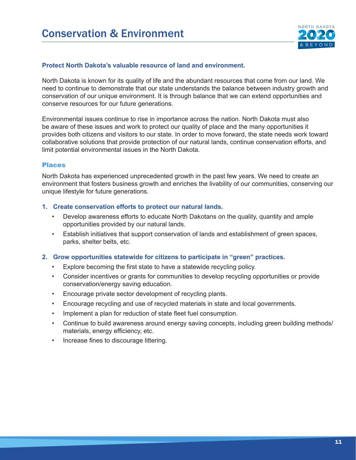

## **Protect North Dakota's valuable resource of land and environment.**

North Dakota is known for its quality of life and the abundant resources that come from our land. We need to continue to demonstrate that our state understands the balance between industry growth and conservation of our unique environment. It is through balance that we can extend opportunities and conserve resources for our future generations.

Environmental issues continue to rise in importance across the nation. North Dakota must also be aware of these issues and work to protect our quality of place and the many opportunities it provides both citizens and visitors to our state. In order to move forward, the state needs work toward collaborative solutions that provide protection of our natural lands, continue conservation efforts, and limit potential environmental issues in the North Dakota.

#### Places

North Dakota has experienced unprecedented growth in the past few years. We need to create an environment that fosters business growth and enriches the livability of our communities, conserving our unique lifestyle for future generations.

#### **1. Create conservation efforts to protect our natural lands.**

- Develop awareness efforts to educate North Dakotans on the quality, quantity and ample opportunities provided by our natural lands.
- Establish initiatives that support conservation of lands and establishment of green spaces, parks, shelter belts, etc.

#### **2. Grow opportunities statewide for citizens to participate in "green" practices.**

- Explore becoming the first state to have a statewide recycling policy.
- Consider incentives or grants for communities to develop recycling opportunities or provide conservation/energy saving education.
- Encourage private sector development of recycling plants.
- Encourage recycling and use of recycled materials in state and local governments.
- Implement a plan for reduction of state fleet fuel consumption.
- Continue to build awareness around energy saving concepts, including green building methods/ materials, energy efficiency, etc.
- Increase fines to discourage littering.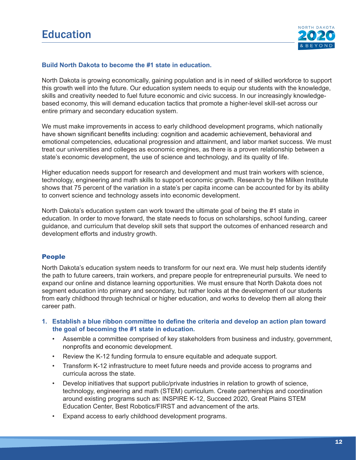

## **Build North Dakota to become the #1 state in education.**

North Dakota is growing economically, gaining population and is in need of skilled workforce to support this growth well into the future. Our education system needs to equip our students with the knowledge, skills and creativity needed to fuel future economic and civic success. In our increasingly knowledgebased economy, this will demand education tactics that promote a higher-level skill-set across our entire primary and secondary education system.

We must make improvements in access to early childhood development programs, which nationally have shown significant benefits including: cognition and academic achievement, behavioral and emotional competencies, educational progression and attainment, and labor market success. We must treat our universities and colleges as economic engines, as there is a proven relationship between a state's economic development, the use of science and technology, and its quality of life.

Higher education needs support for research and development and must train workers with science, technology, engineering and math skills to support economic growth. Research by the Milken Institute shows that 75 percent of the variation in a state's per capita income can be accounted for by its ability to convert science and technology assets into economic development.

North Dakota's education system can work toward the ultimate goal of being the #1 state in education. In order to move forward, the state needs to focus on scholarships, school funding, career guidance, and curriculum that develop skill sets that support the outcomes of enhanced research and development efforts and industry growth.

## People

North Dakota's education system needs to transform for our next era. We must help students identify the path to future careers, train workers, and prepare people for entrepreneurial pursuits. We need to expand our online and distance learning opportunities. We must ensure that North Dakota does not segment education into primary and secondary, but rather looks at the development of our students from early childhood through technical or higher education, and works to develop them all along their career path.

- **1. Establish a blue ribbon committee to define the criteria and develop an action plan toward the goal of becoming the #1 state in education.**
	- Assemble a committee comprised of key stakeholders from business and industry, government, nonprofits and economic development.
	- Review the K-12 funding formula to ensure equitable and adequate support.
	- Transform K-12 infrastructure to meet future needs and provide access to programs and curricula across the state.
	- Develop initiatives that support public/private industries in relation to growth of science, technology, engineering and math (STEM) curriculum. Create partnerships and coordination around existing programs such as: INSPIRE K-12, Succeed 2020, Great Plains STEM Education Center, Best Robotics/FIRST and advancement of the arts.
	- Expand access to early childhood development programs.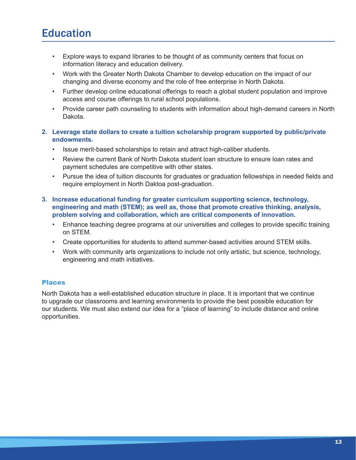# **Education**

- Explore ways to expand libraries to be thought of as community centers that focus on information literacy and education delivery.
- Work with the Greater North Dakota Chamber to develop education on the impact of our changing and diverse economy and the role of free enterprise in North Dakota.
- Further develop online educational offerings to reach a global student population and improve access and course offerings to rural school populations.
- Provide career path counseling to students with information about high-demand careers in North Dakota.

## **2. Leverage state dollars to create a tuition scholarship program supported by public/private endowments.**

- Issue merit-based scholarships to retain and attract high-caliber students.
- Review the current Bank of North Dakota student loan structure to ensure loan rates and payment schedules are competitive with other states.
- Pursue the idea of tuition discounts for graduates or graduation fellowships in needed fields and require employment in North Daktoa post-graduation.
- **3. Increase educational funding for greater curriculum supporting science, technology, engineering and math (STEM); as well as, those that promote creative thinking, analysis, problem solving and collaboration, which are critical components of innovation.**
	- Enhance teaching degree programs at our universities and colleges to provide specific training on STEM.
	- Create opportunities for students to attend summer-based activities around STEM skills.
	- Work with community arts organizations to include not only artistic, but science, technology, engineering and math initiatives.

## Places

North Dakota has a well-established education structure in place. It is important that we continue to upgrade our classrooms and learning environments to provide the best possible education for our students. We must also extend our idea for a "place of learning" to include distance and online opportunities.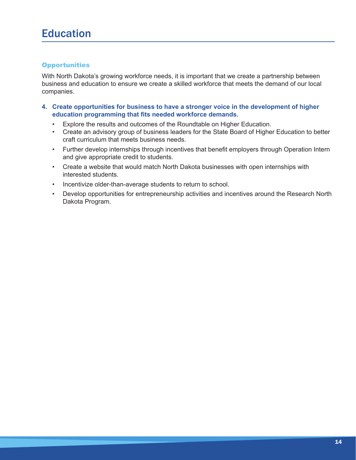## **Opportunities**

With North Dakota's growing workforce needs, it is important that we create a partnership between business and education to ensure we create a skilled workforce that meets the demand of our local companies.

- **4. Create opportunities for business to have a stronger voice in the development of higher education programming that fits needed workforce demands.**
	- Explore the results and outcomes of the Roundtable on Higher Education.
	- Create an advisory group of business leaders for the State Board of Higher Education to better craft curriculum that meets business needs.
	- Further develop internships through incentives that benefit employers through Operation Intern and give appropriate credit to students.
	- Create a website that would match North Dakota businesses with open internships with interested students.
	- Incentivize older-than-average students to return to school.
	- Develop opportunities for entrepreneurship activities and incentives around the Research North Dakota Program.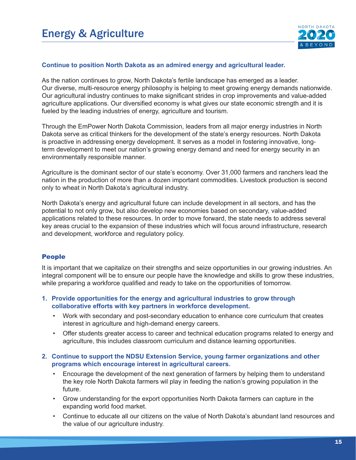

#### **Continue to position North Dakota as an admired energy and agricultural leader.**

As the nation continues to grow, North Dakota's fertile landscape has emerged as a leader. Our diverse, multi-resource energy philosophy is helping to meet growing energy demands nationwide. Our agricultural industry continues to make significant strides in crop improvements and value-added agriculture applications. Our diversified economy is what gives our state economic strength and it is fueled by the leading industries of energy, agriculture and tourism.

Through the EmPower North Dakota Commission, leaders from all major energy industries in North Dakota serve as critical thinkers for the development of the state's energy resources. North Dakota is proactive in addressing energy development. It serves as a model in fostering innovative, longterm development to meet our nation's growing energy demand and need for energy security in an environmentally responsible manner.

Agriculture is the dominant sector of our state's economy. Over 31,000 farmers and ranchers lead the nation in the production of more than a dozen important commodities. Livestock production is second only to wheat in North Dakota's agricultural industry.

North Dakota's energy and agricultural future can include development in all sectors, and has the potential to not only grow, but also develop new economies based on secondary, value-added applications related to these resources. In order to move forward, the state needs to address several key areas crucial to the expansion of these industries which will focus around infrastructure, research and development, workforce and regulatory policy.

#### People

It is important that we capitalize on their strengths and seize opportunities in our growing industries. An integral component will be to ensure our people have the knowledge and skills to grow these industries, while preparing a workforce qualified and ready to take on the opportunities of tomorrow.

#### **1. Provide opportunities for the energy and agricultural industries to grow through collaborative efforts with key partners in workforce development.**

- Work with secondary and post-secondary education to enhance core curriculum that creates interest in agriculture and high-demand energy careers.
- Offer students greater access to career and technical education programs related to energy and agriculture, this includes classroom curriculum and distance learning opportunities.

#### **2. Continue to support the NDSU Extension Service, young farmer organizations and other programs which encourage interest in agricultural careers.**

- Encourage the development of the next generation of farmers by helping them to understand the key role North Dakota farmers wil play in feeding the nation's growing population in the future.
- Grow understanding for the export opportunities North Dakota farmers can capture in the expanding world food market.
- Continue to educate all our citizens on the value of North Dakota's abundant land resources and the value of our agriculture industry.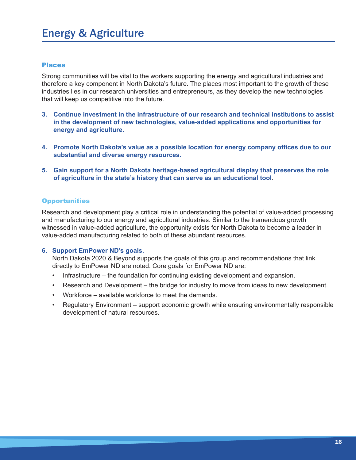# Energy & Agriculture

## Places

Strong communities will be vital to the workers supporting the energy and agricultural industries and therefore a key component in North Dakota's future. The places most important to the growth of these industries lies in our research universities and entrepreneurs, as they develop the new technologies that will keep us competitive into the future.

- **3. Continue investment in the infrastructure of our research and technical institutions to assist in the development of new technologies, value-added applications and opportunities for energy and agriculture.**
- **4. Promote North Dakota's value as a possible location for energy company offices due to our substantial and diverse energy resources.**
- **5. Gain support for a North Dakota heritage-based agricultural display that preserves the role of agriculture in the state's history that can serve as an educational tool**.

#### **Opportunities**

Research and development play a critical role in understanding the potential of value-added processing and manufacturing to our energy and agricultural industries. Similar to the tremendous growth witnessed in value-added agriculture, the opportunity exists for North Dakota to become a leader in value-added manufacturing related to both of these abundant resources.

#### **6. Support EmPower ND's goals.**

North Dakota 2020 & Beyond supports the goals of this group and recommendations that link directly to EmPower ND are noted. Core goals for EmPower ND are:

- Infrastructure the foundation for continuing existing development and expansion.
- Research and Development the bridge for industry to move from ideas to new development.
- Workforce available workforce to meet the demands.
- Regulatory Environment support economic growth while ensuring environmentally responsible development of natural resources.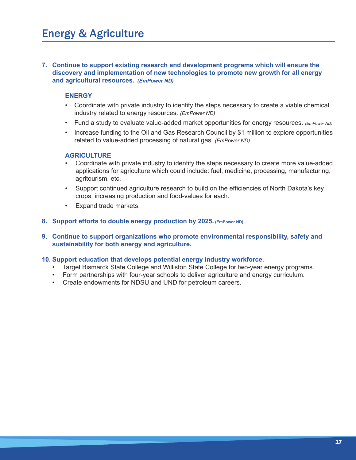**7. Continue to support existing research and development programs which will ensure the discovery and implementation of new technologies to promote new growth for all energy and agricultural resources.** *(EmPower ND)*

## **ENERGY**

- Coordinate with private industry to identify the steps necessary to create a viable chemical industry related to energy resources. *(EmPower ND)*
- Fund a study to evaluate value-added market opportunities for energy resources. *(EmPower ND)*
- Increase funding to the Oil and Gas Research Council by \$1 million to explore opportunities related to value-added processing of natural gas. *(EmPower ND)*

#### **AGRICULTURE**

- Coordinate with private industry to identify the steps necessary to create more value-added applications for agriculture which could include: fuel, medicine, processing, manufacturing, agritourism, etc.
- Support continued agriculture research to build on the efficiencies of North Dakota's key crops, increasing production and food-values for each.
- Expand trade markets.
- **8. Support efforts to double energy production by 2025. (EmPower ND)**
- **9. Continue to support organizations who promote environmental responsibility, safety and sustainability for both energy and agriculture.**

#### **10. Support education that develops potential energy industry workforce.**

- Target Bismarck State College and Williston State College for two-year energy programs.
- Form partnerships with four-year schools to deliver agriculture and energy curriculum.
- Create endowments for NDSU and UND for petroleum careers.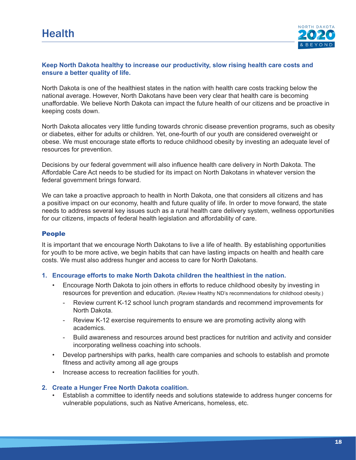

## **Keep North Dakota healthy to increase our productivity, slow rising health care costs and ensure a better quality of life.**

North Dakota is one of the healthiest states in the nation with health care costs tracking below the national average. However, North Dakotans have been very clear that health care is becoming unaffordable. We believe North Dakota can impact the future health of our citizens and be proactive in keeping costs down.

North Dakota allocates very little funding towards chronic disease prevention programs, such as obesity or diabetes, either for adults or children. Yet, one-fourth of our youth are considered overweight or obese. We must encourage state efforts to reduce childhood obesity by investing an adequate level of resources for prevention.

Decisions by our federal government will also influence health care delivery in North Dakota. The Affordable Care Act needs to be studied for its impact on North Dakotans in whatever version the federal government brings forward.

We can take a proactive approach to health in North Dakota, one that considers all citizens and has a positive impact on our economy, health and future quality of life. In order to move forward, the state needs to address several key issues such as a rural health care delivery system, wellness opportunities for our citizens, impacts of federal health legislation and affordability of care.

## People

It is important that we encourage North Dakotans to live a life of health. By establishing opportunities for youth to be more active, we begin habits that can have lasting impacts on health and health care costs. We must also address hunger and access to care for North Dakotans.

## **1. Encourage efforts to make North Dakota children the healthiest in the nation.**

- Encourage North Dakota to join others in efforts to reduce childhood obesity by investing in resources for prevention and education. (Review Healthy ND's recommendations for childhood obesity.)
	- Review current K-12 school lunch program standards and recommend improvements for North Dakota.
	- Review K-12 exercise requirements to ensure we are promoting activity along with academics.
	- Build awareness and resources around best practices for nutrition and activity and consider incorporating wellness coaching into schools.
- Develop partnerships with parks, health care companies and schools to establish and promote fitness and activity among all age groups
- Increase access to recreation facilities for youth.

## **2. Create a Hunger Free North Dakota coalition.**

• Establish a committee to identify needs and solutions statewide to address hunger concerns for vulnerable populations, such as Native Americans, homeless, etc.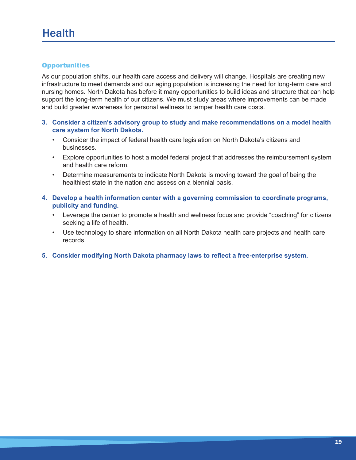## **Opportunities**

As our population shifts, our health care access and delivery will change. Hospitals are creating new infrastructure to meet demands and our aging population is increasing the need for long-term care and nursing homes. North Dakota has before it many opportunities to build ideas and structure that can help support the long-term health of our citizens. We must study areas where improvements can be made and build greater awareness for personal wellness to temper health care costs.

- **3. Consider a citizen's advisory group to study and make recommendations on a model health care system for North Dakota.**
	- Consider the impact of federal health care legislation on North Dakota's citizens and businesses.
	- Explore opportunities to host a model federal project that addresses the reimbursement system and health care reform.
	- Determine measurements to indicate North Dakota is moving toward the goal of being the healthiest state in the nation and assess on a biennial basis.
- **4. Develop a health information center with a governing commission to coordinate programs, publicity and funding.**
	- Leverage the center to promote a health and wellness focus and provide "coaching" for citizens seeking a life of health.
	- Use technology to share information on all North Dakota health care projects and health care records.
- **5. Consider modifying North Dakota pharmacy laws to reflect a free-enterprise system.**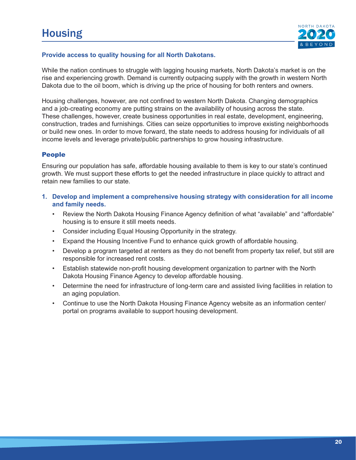

## **Provide access to quality housing for all North Dakotans.**

While the nation continues to struggle with lagging housing markets, North Dakota's market is on the rise and experiencing growth. Demand is currently outpacing supply with the growth in western North Dakota due to the oil boom, which is driving up the price of housing for both renters and owners.

Housing challenges, however, are not confined to western North Dakota. Changing demographics and a job-creating economy are putting strains on the availability of housing across the state. These challenges, however, create business opportunities in real estate, development, engineering, construction, trades and furnishings. Cities can seize opportunities to improve existing neighborhoods or build new ones. In order to move forward, the state needs to address housing for individuals of all income levels and leverage private/public partnerships to grow housing infrastructure.

## People

Ensuring our population has safe, affordable housing available to them is key to our state's continued growth. We must support these efforts to get the needed infrastructure in place quickly to attract and retain new families to our state.

- **1. Develop and implement a comprehensive housing strategy with consideration for all income and family needs.**
	- Review the North Dakota Housing Finance Agency definition of what "available" and "affordable" housing is to ensure it still meets needs.
	- Consider including Equal Housing Opportunity in the strategy.
	- Expand the Housing Incentive Fund to enhance quick growth of affordable housing.
	- Develop a program targeted at renters as they do not benefit from property tax relief, but still are responsible for increased rent costs.
	- Establish statewide non-profit housing development organization to partner with the North Dakota Housing Finance Agency to develop affordable housing.
	- Determine the need for infrastructure of long-term care and assisted living facilities in relation to an aging population.
	- Continue to use the North Dakota Housing Finance Agency website as an information center/ portal on programs available to support housing development.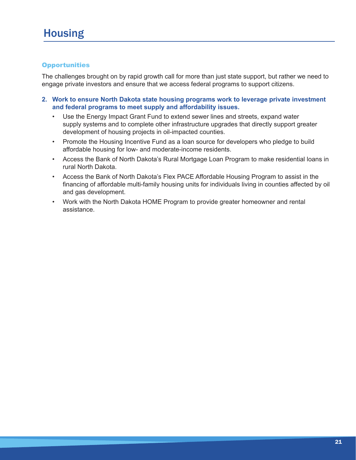## **Opportunities**

The challenges brought on by rapid growth call for more than just state support, but rather we need to engage private investors and ensure that we access federal programs to support citizens.

- **2. Work to ensure North Dakota state housing programs work to leverage private investment and federal programs to meet supply and affordability issues.** 
	- Use the Energy Impact Grant Fund to extend sewer lines and streets, expand water supply systems and to complete other infrastructure upgrades that directly support greater development of housing projects in oil-impacted counties.
	- Promote the Housing Incentive Fund as a loan source for developers who pledge to build affordable housing for low- and moderate-income residents.
	- Access the Bank of North Dakota's Rural Mortgage Loan Program to make residential loans in rural North Dakota.
	- Access the Bank of North Dakota's Flex PACE Affordable Housing Program to assist in the financing of affordable multi-family housing units for individuals living in counties affected by oil and gas development.
	- Work with the North Dakota HOME Program to provide greater homeowner and rental assistance.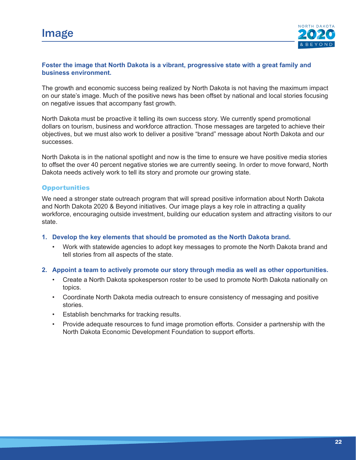

## **Foster the image that North Dakota is a vibrant, progressive state with a great family and business environment.**

The growth and economic success being realized by North Dakota is not having the maximum impact on our state's image. Much of the positive news has been offset by national and local stories focusing on negative issues that accompany fast growth.

North Dakota must be proactive it telling its own success story. We currently spend promotional dollars on tourism, business and workforce attraction. Those messages are targeted to achieve their objectives, but we must also work to deliver a positive "brand" message about North Dakota and our successes.

North Dakota is in the national spotlight and now is the time to ensure we have positive media stories to offset the over 40 percent negative stories we are currently seeing. In order to move forward, North Dakota needs actively work to tell its story and promote our growing state.

#### **Opportunities**

We need a stronger state outreach program that will spread positive information about North Dakota and North Dakota 2020 & Beyond initiatives. Our image plays a key role in attracting a quality workforce, encouraging outside investment, building our education system and attracting visitors to our state.

#### **1. Develop the key elements that should be promoted as the North Dakota brand.**

• Work with statewide agencies to adopt key messages to promote the North Dakota brand and tell stories from all aspects of the state.

#### **2. Appoint a team to actively promote our story through media as well as other opportunities.**

- Create a North Dakota spokesperson roster to be used to promote North Dakota nationally on topics.
- Coordinate North Dakota media outreach to ensure consistency of messaging and positive stories.
- Establish benchmarks for tracking results.
- Provide adequate resources to fund image promotion efforts. Consider a partnership with the North Dakota Economic Development Foundation to support efforts.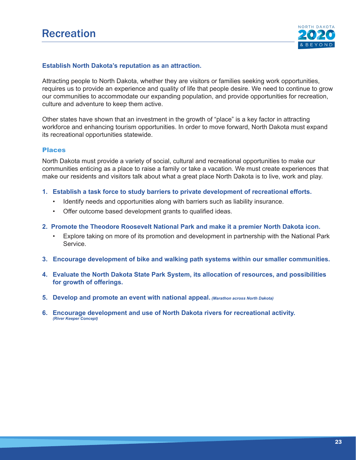

#### **Establish North Dakota's reputation as an attraction.**

Attracting people to North Dakota, whether they are visitors or families seeking work opportunities, requires us to provide an experience and quality of life that people desire. We need to continue to grow our communities to accommodate our expanding population, and provide opportunities for recreation, culture and adventure to keep them active.

Other states have shown that an investment in the growth of "place" is a key factor in attracting workforce and enhancing tourism opportunities. In order to move forward, North Dakota must expand its recreational opportunities statewide.

#### Places

North Dakota must provide a variety of social, cultural and recreational opportunities to make our communities enticing as a place to raise a family or take a vacation. We must create experiences that make our residents and visitors talk about what a great place North Dakota is to live, work and play.

- **1. Establish a task force to study barriers to private development of recreational efforts.** 
	- Identify needs and opportunities along with barriers such as liability insurance.
	- Offer outcome based development grants to qualified ideas.

#### **2. Promote the Theodore Roosevelt National Park and make it a premier North Dakota icon.**

- Explore taking on more of its promotion and development in partnership with the National Park Service.
- **3. Encourage development of bike and walking path systems within our smaller communities.**
- **4. Evaluate the North Dakota State Park System, its allocation of resources, and possibilities for growth of offerings.**
- **5. Develop and promote an event with national appeal.** *(Marathon across North Dakota)*
- **6. Encourage development and use of North Dakota rivers for recreational activity.**  *(River Keeper Concept)*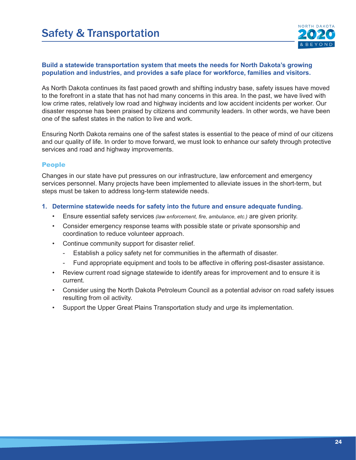

## **Build a statewide transportation system that meets the needs for North Dakota's growing population and industries, and provides a safe place for workforce, families and visitors.**

As North Dakota continues its fast paced growth and shifting industry base, safety issues have moved to the forefront in a state that has not had many concerns in this area. In the past, we have lived with low crime rates, relatively low road and highway incidents and low accident incidents per worker. Our disaster response has been praised by citizens and community leaders. In other words, we have been one of the safest states in the nation to live and work.

Ensuring North Dakota remains one of the safest states is essential to the peace of mind of our citizens and our quality of life. In order to move forward, we must look to enhance our safety through protective services and road and highway improvements.

## People

Changes in our state have put pressures on our infrastructure, law enforcement and emergency services personnel. Many projects have been implemented to alleviate issues in the short-term, but steps must be taken to address long-term statewide needs.

## **1. Determine statewide needs for safety into the future and ensure adequate funding.**

- Ensure essential safety services *(law enforcement, fire, ambulance, etc.)* are given priority.
- Consider emergency response teams with possible state or private sponsorship and coordination to reduce volunteer approach.
- Continue community support for disaster relief.
	- Establish a policy safety net for communities in the aftermath of disaster.
	- Fund appropriate equipment and tools to be affective in offering post-disaster assistance.
- Review current road signage statewide to identify areas for improvement and to ensure it is current.
- Consider using the North Dakota Petroleum Council as a potential advisor on road safety issues resulting from oil activity.
- Support the Upper Great Plains Transportation study and urge its implementation.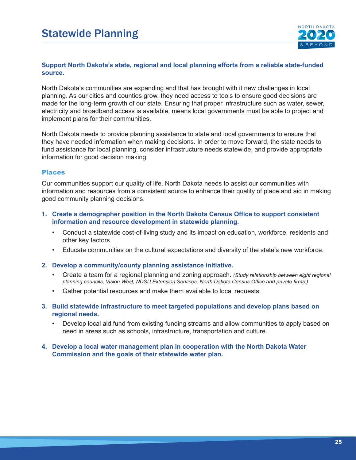

## **Support North Dakota's state, regional and local planning efforts from a reliable state-funded source.**

North Dakota's communities are expanding and that has brought with it new challenges in local planning. As our cities and counties grow, they need access to tools to ensure good decisions are made for the long-term growth of our state. Ensuring that proper infrastructure such as water, sewer, electricity and broadband access is available, means local governments must be able to project and implement plans for their communities.

North Dakota needs to provide planning assistance to state and local governments to ensure that they have needed information when making decisions. In order to move forward, the state needs to fund assistance for local planning, consider infrastructure needs statewide, and provide appropriate information for good decision making.

## Places

Our communities support our quality of life. North Dakota needs to assist our communities with information and resources from a consistent source to enhance their quality of place and aid in making good community planning decisions.

- **1. Create a demographer position in the North Dakota Census Office to support consistent** \\\\\\\ **information and resource development in statewide planning.**
	- Conduct a statewide cost-of-living study and its impact on education, workforce, residents and other key factors
	- Educate communities on the cultural expectations and diversity of the state's new workforce.

#### **2. Develop a community/county planning assistance initiative.**

- Create a team for a regional planning and zoning approach. *(Study relationship between eight regional planning councils, Vision West, NDSU Extension Services, North Dakota Census Office and private firms.)*
- Gather potential resources and make them available to local requests.
- **3. Build statewide infrastructure to meet targeted populations and develop plans based on regional needs.** 
	- Develop local aid fund from existing funding streams and allow communities to apply based on need in areas such as schools, infrastructure, transportation and culture.
- **4. Develop a local water management plan in cooperation with the North Dakota Water Commission and the goals of their statewide water plan.**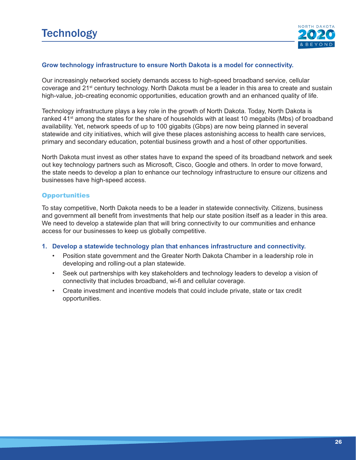

## **Grow technology infrastructure to ensure North Dakota is a model for connectivity.**

Our increasingly networked society demands access to high-speed broadband service, cellular coverage and 21<sup>st</sup> century technology. North Dakota must be a leader in this area to create and sustain high-value, job-creating economic opportunities, education growth and an enhanced quality of life.

Technology infrastructure plays a key role in the growth of North Dakota. Today, North Dakota is ranked 41<sup>st</sup> among the states for the share of households with at least 10 megabits (Mbs) of broadband availability. Yet, network speeds of up to 100 gigabits (Gbps) are now being planned in several statewide and city initiatives, which will give these places astonishing access to health care services, primary and secondary education, potential business growth and a host of other opportunities.

North Dakota must invest as other states have to expand the speed of its broadband network and seek out key technology partners such as Microsoft, Cisco, Google and others. In order to move forward, the state needs to develop a plan to enhance our technology infrastructure to ensure our citizens and businesses have high-speed access.

## **Opportunities**

To stay competitive, North Dakota needs to be a leader in statewide connectivity. Citizens, business and government all benefit from investments that help our state position itself as a leader in this area. We need to develop a statewide plan that will bring connectivity to our communities and enhance access for our businesses to keep us globally competitive.

#### **1. Develop a statewide technology plan that enhances infrastructure and connectivity.**

- Position state government and the Greater North Dakota Chamber in a leadership role in developing and rolling-out a plan statewide.
- Seek out partnerships with key stakeholders and technology leaders to develop a vision of connectivity that includes broadband, wi-fi and cellular coverage.
- Create investment and incentive models that could include private, state or tax credit opportunities.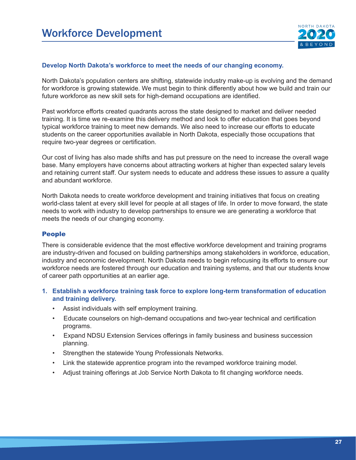

#### **Develop North Dakota's workforce to meet the needs of our changing economy.**

North Dakota's population centers are shifting, statewide industry make-up is evolving and the demand for workforce is growing statewide. We must begin to think differently about how we build and train our future workforce as new skill sets for high-demand occupations are identified.

Past workforce efforts created quadrants across the state designed to market and deliver needed training. It is time we re-examine this delivery method and look to offer education that goes beyond typical workforce training to meet new demands. We also need to increase our efforts to educate students on the career opportunities available in North Dakota, especially those occupations that require two-year degrees or certification.

Our cost of living has also made shifts and has put pressure on the need to increase the overall wage base. Many employers have concerns about attracting workers at higher than expected salary levels and retaining current staff. Our system needs to educate and address these issues to assure a quality and abundant workforce.

North Dakota needs to create workforce development and training initiatives that focus on creating world-class talent at every skill level for people at all stages of life. In order to move forward, the state needs to work with industry to develop partnerships to ensure we are generating a workforce that meets the needs of our changing economy.

## People

There is considerable evidence that the most effective workforce development and training programs are industry-driven and focused on building partnerships among stakeholders in workforce, education, industry and economic development. North Dakota needs to begin refocusing its efforts to ensure our workforce needs are fostered through our education and training systems, and that our students know of career path opportunities at an earlier age.

- **1. Establish a workforce training task force to explore long-term transformation of education and training delivery.**
	- Assist individuals with self employment training.
	- Educate counselors on high-demand occupations and two-year technical and certification programs.
	- Expand NDSU Extension Services offerings in family business and business succession planning.
	- Strengthen the statewide Young Professionals Networks.
	- Link the statewide apprentice program into the revamped workforce training model.
	- Adjust training offerings at Job Service North Dakota to fit changing workforce needs.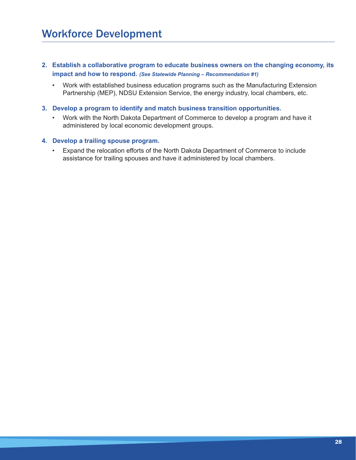- **2. Establish a collaborative program to educate business owners on the changing economy, its impact and how to respond.** *(See Statewide Planning – Recommendation #1)*
	- Work with established business education programs such as the Manufacturing Extension Partnership (MEP), NDSU Extension Service, the energy industry, local chambers, etc.
- **3. Develop a program to identify and match business transition opportunities.**
	- Work with the North Dakota Department of Commerce to develop a program and have it administered by local economic development groups.

#### **4. Develop a trailing spouse program.**

• Expand the relocation efforts of the North Dakota Department of Commerce to include assistance for trailing spouses and have it administered by local chambers.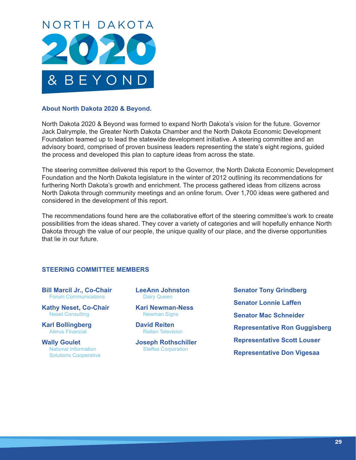

## **About North Dakota 2020 & Beyond.**

North Dakota 2020 & Beyond was formed to expand North Dakota's vision for the future. Governor Jack Dalrymple, the Greater North Dakota Chamber and the North Dakota Economic Development Foundation teamed up to lead the statewide development initiative. A steering committee and an advisory board, comprised of proven business leaders representing the state's eight regions, guided the process and developed this plan to capture ideas from across the state.

The steering committee delivered this report to the Governor, the North Dakota Economic Development Foundation and the North Dakota legislature in the winter of 2012 outlining its recommendations for furthering North Dakota's growth and enrichment. The process gathered ideas from citizens across North Dakota through community meetings and an online forum. Over 1,700 ideas were gathered and considered in the development of this report.

The recommendations found here are the collaborative effort of the steering committee's work to create possibilities from the ideas shared. They cover a variety of categories and will hopefully enhance North Dakota through the value of our people, the unique quality of our place, and the diverse opportunities that lie in our future.

#### **STEERING COMMITTEE MEMBERS**

**Bill Marcil Jr., Co-Chair** Forum Communications

**Kathy Neset, Co-Chair** Neset Consulting

**Karl Bollingberg** Alerus Financial

**Wally Goulet** National Information Solutions Cooperative **LeeAnn Johnston** Dairy Queen

**Kari Newman-Ness** Newman Signs

**David Reiten** Reiten Television

**Joseph Rothschiller** Steffes Corporation

**Senator Tony Grindberg Senator Lonnie Laffen Senator Mac Schneider Representative Ron Guggisberg Representative Scott Louser Representative Don Vigesaa**